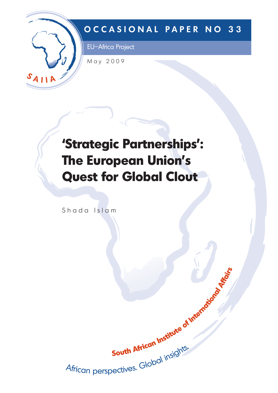

# **OCCASIONAL PAPER NO 33**

EU–Africa Project

May 2009

# **'Strategic Partnerships': The European Union's Quest for Global Clout**

Shada Islam

Juun musican perspectives. Global insights. South African Institute of International King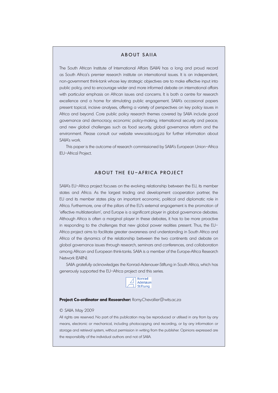### ABOUT SAIIA

The South African Institute of International Affairs (SAIIA) has a long and proud record as South Africa's premier research institute on international issues. It is an independent, non-government think-tank whose key strategic objectives are to make effective input into public policy, and to encourage wider and more informed debate on international affairs with particular emphasis on African issues and concerns. It is both a centre for research excellence and a home for stimulating public engagement. SAIIA's occasional papers present topical, incisive analyses, offering a variety of perspectives on key policy issues in Africa and beyond. Core public policy research themes covered by SAIIA include good governance and democracy; economic policy-making; international security and peace; and new global challenges such as food security, global governance reform and the environment. Please consult our website www.saiia.org.za for further information about SAIIA's work.

This paper is the outcome of research commissioned by SAIIA's European Union–Africa (EU–Africa) Project.

## ABOUT THE EU–AFRICA PROJECT

SAIIA's EU-Africa project focuses on the evolving relationship between the EU, its member states and Africa. As the largest trading and development cooperation partner, the EU and its member states play an important economic, political and diplomatic role in Africa. Furthermore, one of the pillars of the EU's external engagement is the promotion of 'effective multilateralism', and Europe is a significant player in global governance debates. Although Africa is often a marginal player in these debates, it has to be more proactive in responding to the challenges that new global power realities present. Thus, the EU– Africa project aims to facilitate greater awareness and understanding in South Africa and Africa of the dynamics of the relationship between the two continents and debate on global governance issues through research, seminars and conferences, and collaboration among African and European think-tanks. SAIIA is a member of the Europe-Africa Research Network (EARN).

SAIIA gratefully acknowledges the Konrad-Adenauer-Stiftung in South Africa, which has generously supported the EU–Africa project and this series.



#### **Project Co-ordinator and Researcher:** Romy.Chevallier@wits.ac.za

#### © SAIIA. May 2009

All rights are reserved. No part of this publication may be reproduced or utilised in any from by any means, electronic or mechanical, including photocopying and recording, or by any information or storage and retrieval system, without permission in writing from the publisher. Opinions expressed are the responsibility of the individual authors and not of SAIIA.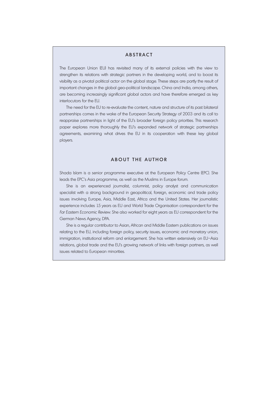### **ABSTRACT**

The European Union (EU) has revisited many of its external policies with the view to strengthen its relations with strategic partners in the developing world, and to boost its visibility as a pivotal political actor on the global stage. These steps are partly the result of important changes in the global geo-political landscape. China and India, among others, are becoming increasingly significant global actors and have therefore emerged as key interlocutors for the EU.

The need for the EU to re-evaluate the content, nature and structure of its past bilateral partnerships comes in the wake of the European Security Strategy of 2003 and its call to reappraise partnerships in light of the EU's broader foreign policy priorities. This research paper explores more thoroughly the EU's expanded network of strategic partnerships agreements, examining what drives the EU in its cooperation with these key global players.

#### ABOUT THE AUTHOR

Shada Islam is a senior programme executive at the European Policy Centre (EPC). She leads the EPC's Asia programme, as well as the Muslims in Europe forum.

She is an experienced journalist, columnist, policy analyst and communication specialist with a strong background in geopolitical, foreign, economic and trade policy issues involving Europe, Asia, Middle East, Africa and the United States. Her journalistic experience includes 15 years as EU and World Trade Organisation correspondent for the Far Eastern Economic Review. She also worked for eight years as EU correspondent for the German News Agency, DPA.

She is a regular contributor to Asian, African and Middle Eastern publications on issues relating to the EU, including foreign policy, security issues, economic and monetary union, immigration, institutional reform and enlargement. She has written extensively on EU–Asia relations, global trade and the EU's growing network of links with foreign partners, as well issues related to European minorities.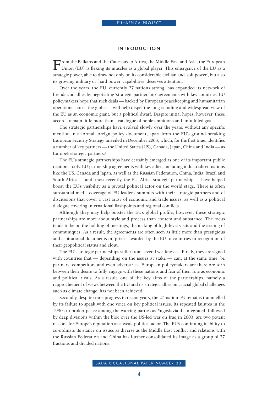#### INTRODUCTION

From the Balkans and the Caucasus to Africa, the Middle East and Asia, the European Union (EU) is flexing its muscles as a global player. This emergence of the EU as a strategic power, able to draw not only on its considerable civilian and 'soft power', but also its growing military or 'hard power' capabilities, deserves attention.

Over the years, the EU, currently 27 nations strong, has expanded its network of friends and allies by negotiating 'strategic partnership' agreements with key countries. EU policymakers hope that such deals — backed by European peacekeeping and humanitarian operations across the globe — will help dispel the long-standing and widespread view of the EU as an economic giant, but a political dwarf. Despite initial hopes, however, these accords remain little more than a catalogue of noble ambitions and unfulfilled goals.

The strategic partnerships have evolved slowly over the years, without any specific mention in a formal foreign policy document, apart from the EU's ground-breaking European Security Strategy unveiled in December 2003, which, for the first time, identifies a number of key partners — the United States (US), Canada, Japan, China and India — as Europe's strategic partners. $<sup>1</sup>$ </sup>

The EU's strategic partnerships have certainly emerged as one of its important public relations tools. EU partnership agreements with key allies, including industrialised nations like the US, Canada and Japan, as well as the Russian Federation, China, India, Brazil and South Africa — and, most recently, the EU–Africa strategic partnership — have helped boost the EU's visibility as a pivotal political actor on the world stage. There is often substantial media coverage of EU leaders' summits with their strategic partners and of discussions that cover a vast array of economic and trade issues, as well as a political dialogue covering international flashpoints and regional conflicts.

Although they may help bolster the EU's global profile, however, these strategic partnerships are more about style and process than content and substance. The focus tends to be on the holding of meetings, the making of high-level visits and the issuing of communiqués. As a result, the agreements are often seen as little more than prestigious and aspirational documents or 'prizes' awarded by the EU to countries in recognition of their geopolitical status and clout.

The EU's strategic partnerships suffer from several weaknesses. Firstly, they are signed with countries that — depending on the issues at stake — can, at the same time, be partners, competitors and even adversaries. European policymakers are therefore torn between their desire to fully engage with these nations and fear of their role as economic and political rivals. As a result, one of the key aims of the partnerships, namely a rapprochement of views between the EU and its strategic allies on crucial global challenges such as climate change, has not been achieved.

Secondly, despite some progress in recent years, the 27-nation EU remains trammelled by its failure to speak with one voice on key political issues. Its repeated failures in the 1990s to broker peace among the warring parties as Yugoslavia disintegrated, followed by deep divisions within the bloc over the US-led war on Iraq in 2003, are two potent reasons for Europe's reputation as a weak political actor. The EU's continuing inability to co-ordinate its stance on issues as diverse as the Middle East conflict and relations with the Russian Federation and China has further consolidated its image as a group of 27 fractious and divided nations.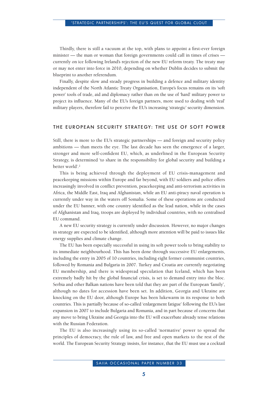Thirdly, there is still a vacuum at the top, with plans to appoint a first-ever foreign minister — the man or woman that foreign governments could call in times of crises currently on ice following Ireland's rejection of the new EU reform treaty. The treaty may or may not enter into force in 2010, depending on whether Dublin decides to submit the blueprint to another referendum.

Finally, despite slow and steady progress in building a defence and military identity independent of the North Atlantic Treaty Organisation, Europe's focus remains on its 'soft power' tools of trade, aid and diplomacy rather than on the use of 'hard' military power to project its influence. Many of the EU's foreign partners, more used to dealing with 'real' military players, therefore fail to perceive the EU's increasing 'strategic' security dimension.

#### THE EUROPEAN SECURITY STRATEGY: THE USE OF SOFT POWER

Still, there is more to the EU's strategic partnerships — and foreign and security policy ambitions — than meets the eye. The last decade has seen the emergence of a larger, stronger and more self-confident EU, which, as underlined in the European Security Strategy, is determined 'to share in the responsibility for global security and building a better world'.2

This is being achieved through the deployment of EU crisis-management and peacekeeping missions within Europe and far beyond, with EU soldiers and police offers increasingly involved in conflict prevention, peacekeeping and anti-terrorism activities in Africa, the Middle East, Iraq and Afghanistan, while an EU anti-piracy naval operation is currently under way in the waters off Somalia. Some of these operations are conducted under the EU banner, with one country identified as the lead nation, while in the cases of Afghanistan and Iraq, troops are deployed by individual countries, with no centralised EU command.

A new EU security strategy is currently under discussion. However, no major changes in strategy are expected to be identified, although more attention will be paid to issues like energy supplies and climate change.

The EU has been especially successful in using its soft power tools to bring stability to its immediate neighbourhood. This has been done through successive EU enlargements, including the entry in 2005 of 10 countries, including eight former communist countries, followed by Romania and Bulgaria in 2007. Turkey and Croatia are currently negotiating EU membership, and there is widespread speculation that Iceland, which has been extremely badly hit by the global financial crisis, is set to demand entry into the bloc. Serbia and other Balkan nations have been told that they are part of the European 'family', although no dates for accession have been set. In addition, Georgia and Ukraine are knocking on the EU door, although Europe has been lukewarm in its response to both countries. This is partially because of so-called 'enlargement fatigue' following the EU's last expansion in 2007 to include Bulgaria and Romania, and in part because of concerns that any move to bring Ukraine and Georgia into the EU will exacerbate already tense relations with the Russian Federation.

The EU is also increasingly using its so-called 'normative' power to spread the principles of democracy, the rule of law, and free and open markets to the rest of the world. The European Security Strategy insists, for instance, that the EU must use a cocktail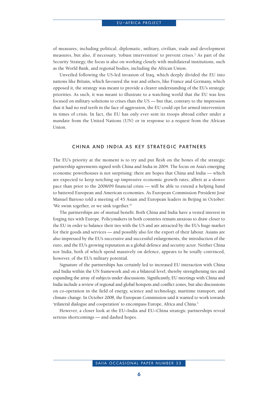of measures, including political, diplomatic, military, civilian, trade and development measures, but also, if necessary, 'robust intervention' to prevent crises.<sup>3</sup> As part of the Security Strategy, the focus is also on working closely with multilateral institutions, such as the World Bank, and regional bodies, including the African Union.

Unveiled following the US-led invasion of Iraq, which deeply divided the EU into nations like Britain, which favoured the war and others, like France and Germany, which opposed it, the strategy was meant to provide a clearer understanding of the EU's strategic priorities. As such, it was meant to illustrate to a watching world that the EU was less focused on military solutions to crises than the US — but that, contrary to the impression that it had no real teeth in the face of aggression, the EU could opt for armed intervention in times of crisis. In fact, the EU has only ever sent its troops abroad either under a mandate from the United Nations (UN) or in response to a request from the African Union.

#### CHINA AND INDIA AS KEY STRATEGIC PARTNERS

The EU's priority at the moment is to try and put flesh on the bones of the strategic partnership agreements signed with China and India in 2004. The focus on Asia's emerging economic powerhouses is not surprising: there are hopes that China and India — which are expected to keep notching up impressive economic growth rates, albeit at a slower pace than prior to the 2008/09 financial crisis — will be able to extend a helping hand to battered European and American economies. As European Commission President José Manuel Barroso told a meeting of 45 Asian and European leaders in Beijing in October: 'We swim together, or we sink together.'4

The partnerships are of mutual benefit. Both China and India have a vested interest in forging ties with Europe. Policymakers in both countries remain anxious to draw closer to the EU in order to balance their ties with the US and are attracted by the EU's huge market for their goods and services — and possibly also for the export of their labour. Asians are also impressed by the EU's successive and successful enlargements, the introduction of the euro, and the EU's growing reputation as a global defence and security actor. Neither China nor India, both of which spend massively on defence, appears to be totally convinced, however, of the EU's military potential.

Signature of the partnerships has certainly led to increased EU interaction with China and India within the UN framework and on a bilateral level, thereby strengthening ties and expanding the array of subjects under discussions. Significantly, EU meetings with China and India include a review of regional and global hotspots and conflict zones, but also discussions on co-operation in the field of energy, science and technology, maritime transport, and climate change. In October 2008, the European Commission said it wanted to work towards 'trilateral dialogue and cooperation' to encompass Europe, Africa and China.5

However, a closer look at the EU–India and EU–China strategic partnerships reveal serious shortcomings — and dashed hopes.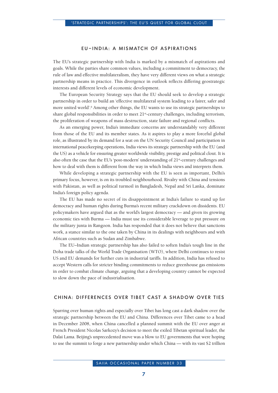### EU–INDIA: A MISMATCH OF ASPIRATIONS

The EU's strategic partnership with India is marked by a mismatch of aspirations and goals. While the parties share common values, including a commitment to democracy, the rule of law and effective multilateralism, they have very different views on what a strategic partnership means in practice. This divergence in outlook reflects differing geostrategic interests and different levels of economic development.

The European Security Strategy says that the EU should seek to develop a strategic partnership in order to build an 'effective multilateral system leading to a fairer, safer and more united world'.6 Among other things, the EU wants to use its strategic partnerships to share global responsibilities in order to meet 21<sup>st</sup>-century challenges, including terrorism, the proliferation of weapons of mass destruction, state failure and regional conflicts.

As an emerging power, India's immediate concerns are understandably very different from those of the EU and its member states. As it aspires to play a more forceful global role, as illustrated by its demand for a seat on the UN Security Council and participation in international peacekeeping operations, India views its strategic partnership with the EU (and the US) as a vehicle for ensuring greater worldwide visibility, prestige and political clout. It is also often the case that the EU's 'post-modern' understanding of 21st-century challenges and how to deal with them is different from the way in which India views and interprets them.

While developing a strategic partnership with the EU is seen as important, Delhi's primary focus, however, is on its troubled neighbourhood. Rivalry with China and tensions with Pakistan, as well as political turmoil in Bangladesh, Nepal and Sri Lanka, dominate India's foreign policy agenda.

The EU has made no secret of its disappointment at India's failure to stand up for democracy and human rights during Burma's recent military crackdown on dissidents. EU policymakers have argued that as the world's largest democracy — and given its growing economic ties with Burma — India must use its considerable leverage to put pressure on the military junta in Rangoon. India has responded that it does not believe that sanctions work, a stance similar to the one taken by China in its dealings with neighbours and with African countries such as Sudan and Zimbabwe.

The EU–Indian strategic partnership has also failed to soften India's tough line in the Doha trade talks of the World Trade Organisation (WTO), where Delhi continues to resist US and EU demands for further cuts in industrial tariffs. In addition, India has refused to accept Western calls for stricter binding commitments to reduce greenhouse gas emissions in order to combat climate change, arguing that a developing country cannot be expected to slow down the pace of industrialisation.

#### CHINA: DIFFERENCES OVER TIBET CAST A SHADOW OVER TIES

Sparring over human rights and especially over Tibet has long cast a dark shadow over the strategic partnership between the EU and China. Differences over Tibet came to a head in December 2008, when China cancelled a planned summit with the EU over anger at French President Nicolas Sarkozy's decision to meet the exiled Tibetan spiritual leader, the Dalai Lama. Beijing's unprecedented move was a blow to EU governments that were hoping to use the summit to forge a new partnership under which China — with its vast \$2 trillion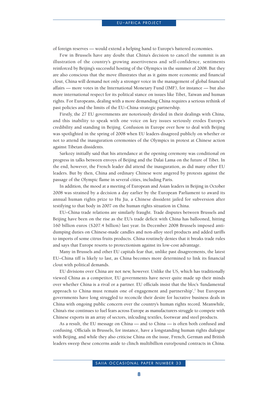of foreign reserves — would extend a helping hand to Europe's battered economies.

Few in Brussels have any doubt that China's decision to cancel the summit is an illustration of the country's growing assertiveness and self-confidence, sentiments reinforced by Beijing's successful hosting of the Olympics in the summer of 2008. But they are also conscious that the move illustrates that as it gains more economic and financial clout, China will demand not only a stronger voice in the management of global financial affairs — more votes in the International Monetary Fund (IMF), for instance — but also more international respect for its political stance on issues like Tibet, Taiwan and human rights. For Europeans, dealing with a more demanding China requires a serious rethink of past policies and the limits of the EU–China strategic partnership.

Firstly, the 27 EU governments are notoriously divided in their dealings with China, and this inability to speak with one voice on key issues seriously erodes Europe's credibility and standing in Beijing. Confusion in Europe over how to deal with Beijing was spotlighted in the spring of 2008 when EU leaders disagreed publicly on whether or not to attend the inauguration ceremonies of the Olympics in protest at Chinese action against Tibetan dissidents.

Sarkozy initially said that his attendance at the opening ceremony was conditional on progress in talks between envoys of Beijing and the Dalai Lama on the future of Tibet. In the end, however, the French leader did attend the inauguration, as did many other EU leaders. But by then, China and ordinary Chinese were angered by protests against the passage of the Olympic flame in several cities, including Paris.

In addition, the mood at a meeting of European and Asian leaders in Beijing in October 2008 was strained by a decision a day earlier by the European Parliament to award its annual human rights prize to Hu Jia, a Chinese dissident jailed for subversion after testifying to that body in 2007 on the human rights situation in China.

EU–China trade relations are similarly fraught. Trade disputes between Brussels and Beijing have been on the rise as the EU's trade deficit with China has ballooned, hitting 160 billion euros (\$207.4 billion) last year. In December 2008 Brussels imposed antidumping duties on Chinese-made candles and non-alloy steel products and added tariffs to imports of some citrus fruits products. China routinely denies that it breaks trade rules and says that Europe resorts to protectionism against its low-cost advantage.

Many in Brussels and other EU capitals fear that, unlike past disagreements, the latest EU–China tiff is likely to last, as China becomes more determined to link its financial clout with political demands.

EU divisions over China are not new, however. Unlike the US, which has traditionally viewed China as a competitor, EU governments have never quite made up their minds over whether China is a rival or a partner. EU officials insist that the bloc's 'fundamental approach to China must remain one of engagement and partnership',<sup>7</sup> but European governments have long struggled to reconcile their desire for lucrative business deals in China with ongoing public concern over the country's human rights record. Meanwhile, China's rise continues to fuel fears across Europe as manufacturers struggle to compete with Chinese exports in an array of sectors, inlcuding textiles, footwear and steel products.

As a result, the EU message on China — and to China — is often both confused and confusing. Officials in Brussels, for instance, have a longstanding human rights dialogue with Beijing, and while they also criticise China on the issue, French, German and British leaders sweep these concerns aside to clinch multibillion euro/pound contracts in China.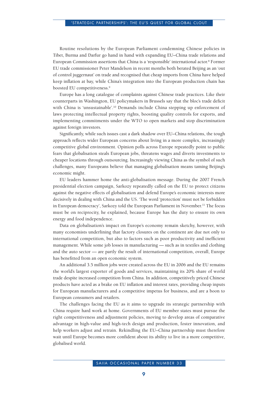Routine resolutions by the European Parliament condemning Chinese policies in Tibet, Burma and Darfur go hand in hand with expanding EU–China trade relations and European Commission assertions that China is a 'responsible' international actor.<sup>8</sup> Former EU trade commissioner Peter Mandelson in recent months both berated Beijing as an 'out of control juggernaut' on trade and recognised that cheap imports from China have helped keep inflation at bay, while China's integration into the European production chain has boosted EU competitiveness.<sup>9</sup>

Europe has a long catalogue of complaints against Chinese trade practices. Like their counterparts in Washington, EU policymakers in Brussels say that the bloc's trade deficit with China is 'unsustainable'.<sup>10</sup> Demands include China stepping up enforcement of laws protecting intellectual property rights, boosting quality controls for exports, and implementing commitments under the WTO to open markets and stop discrimination against foreign investors.

Significantly, while such issues cast a dark shadow over EU–China relations, the tough approach reflects wider European concerns about living in a more complex, increasingly competitive global environment. Opinion polls across Europe repeatedly point to public fears that globalisation steals European jobs, threatens wages and diverts investments to cheaper locations through outsourcing. Increasingly viewing China as the symbol of such challenges, many Europeans believe that managing globalisation means taming Beijing's economic might.

EU leaders hammer home the anti-globalisation message. During the 2007 French presidential election campaign, Sarkozy repeatedly called on the EU to protect citizens against the negative effects of globalisation and defend Europe's economic interests more decisively in dealing with China and the US. 'The word 'protection' must not be forbidden in European democracy', Sarkozy told the European Parliament in November.11 The focus must be on reciprocity, he explained, because Europe has the duty to ensure its own energy and food independence.

Data on globalisation's impact on Europe's economy remain sketchy, however, with many economists underlining that factory closures on the continent are due not only to international competition, but also to factors such as poor productivity and inefficient management. While some job losses in manufacturing — such as in textiles and clothing and the auto sector — are partly the result of international competition, overall, Europe has benefitted from an open economic system.

An additional 3.5 million jobs were created across the EU in 2006 and the EU remains the world's largest exporter of goods and services, maintaining its 20% share of world trade despite increased competition from China. In addition, competitively priced Chinese products have acted as a brake on EU inflation and interest rates, providing cheap inputs for European manufacturers and a competitive impetus for business, and are a boon to European consumers and retailers.

The challenges facing the EU as it aims to upgrade its strategic partnership with China require hard work at home. Governments of EU member states must pursue the right competitiveness and adjustment policies, moving to develop areas of comparative advantage in high-value and high-tech design and production, foster innovation, and help workers adjust and retrain. Rekindling the EU–China partnership must therefore wait until Europe becomes more confident about its ability to live in a more competitive, globalised world.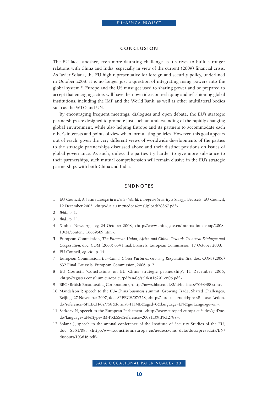### CONCLUSION

The EU faces another, even more daunting challenge as it strives to build stronger relations with China and India, especially in view of the current (2009) financial crisis. As Javier Solana, the EU high representative for foreign and security policy, underlined in October 2008, it is no longer just a question of integrating rising powers into the global system.12 Europe and the US must get used to sharing power and be prepared to accept that emerging actors will have their own ideas on reshaping and refashioning global institutions, including the IMF and the World Bank, as well as other multilateral bodies such as the WTO and UN.

By encouraging frequent meetings, dialogues and open debate, the EU's strategic partnerships are designed to promote just such an understanding of the rapidly changing global environment, while also helping Europe and its partners to accommodate each other's interests and points of view when formulating policies. However, this goal appears out of reach, given the very different views of worldwide developments of the parties to the strategic partnerships discussed above and their distinct positions on issues of global governance. As such, unless the parties try harder to give more substance to their partnerships, such mutual comprehension will remain elusive in the EU's strategic partnerships with both China and India.

#### ENDNOTES

- 1 EU Council, *A Secure Europe in a Better World: European Security Strategy*. Brussels: EU Council, 12 December 2003, <http://ue.eu.int/uedocs/cmsUpload/78367.pdf>.
- 2 *Ibid*., p. 1.
- 3 *Ibid*., p. 11.
- 4 Xinhua News Agency, 24 October 2008, <http://www.chinagate.cn/internationalcoop/2008- 10/24/content\_16659589.htm>.
- 5 European Commission, *The European Union, Africa and China: Towards Trilateral Dialogue and Cooperation*, doc. COM (2008) 654 Final. Brussels: European Commission, 17 October 2008.
- 6 EU Council, *op. cit*., p. 14.
- 7 European Commission, *EU–China: Closer Partners, Growing Responsibilities*, doc. COM (2006) 632 Final. Brussels: European Commission, 2006, p. 2.
- 8 EU Council, 'Conclusions on EU–China strategic partnership', 11 December 2006, <http://register.consilium.europa.eu/pdf/en/06/st16/st16291.en06.pdf>.
- 9 BBC (British Broadcasting Corporation), <http://news.bbc.co.uk/2/hi/business/7048488.stm>.
- 10 Mandelson P, speech to the EU–China business summit, Growing Trade, Shared Challenges, Beijing, 27 November 2007, doc. SPEECH/07/758, <http://europa.eu/rapid/pressReleasesAction. do?reference=SPEECH/07/758&format=HTML&aged=0&language=EN&guiLanguage=en>.
- 11 Sarkozy N, speech to the European Parliament, <http://www.europarl.europa.eu/sides/getDoc. do?language=EN&type=IM-PRESS&reference=20071109IPR12787>.
- 12 Solana J, speech to the annual conference of the Institute of Security Studies of the EU, doc. S351/08, <http://www.consilium.europa.eu/uedocs/cms\_data/docs/pressdata/EN/ discours/103646.pdf>.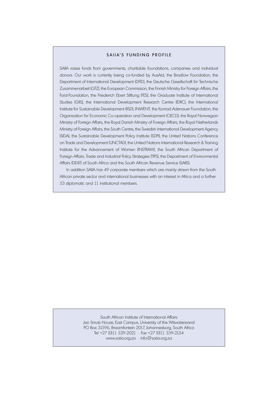#### SAIIA'S FUNDING PROFILE

SAIIA raises funds from governments, charitable foundations, companies and individual donors. Our work is currently being co-funded by AusAid, the Bradlow Foundation, the Department of International Development (DFID), the Deutsche Gesellschaft für Technische Zusammenarbeit (GTZ), the European Commission, the Finnish Ministry for Foreign Affairs, the Ford-Foundation, the Friederich Ebert Stiftung (FES), the Graduate Institute of International Studies (GIIS), the International Development Research Centre (IDRC), the International Institute for Sustainable Development (IISD), INWENT, the Konrad Adenauer Foundation, the Organisation for Economic Co-operation and Development (OECD), the Royal Norwegian Ministry of Foreign Affairs, the Royal Danish Ministry of Foreign Affairs, the Royal Netherlands Ministry of Foreign Affairs, the South Centre, the Swedish International Development Agency (SIDA), the Sustainable Development Policy Institute (SDPI), the United Nations Conference on Trade and Development (UNCTAD), the United Nations International Research & Training Institute for the Advancement of Women (INSTRAW), the South African Department of Foreign Affairs, Trade and Industrial Policy Strategies (TIPS), the Department of Environmental Affairs (DEAT) of South Africa and the South African Revenue Service (SARS).

In addition SAIIA has 49 corporate members which are mainly drawn from the South African private sector and international businesses with an interest in Africa and a further 53 diplomatic and 11 institutional members.

> South African Institute of International Affairs Jan Smuts House, East Campus, University of the Witwatersrand PO Box 31596, Braamfontein 2017, Johannesburg, South Africa Tel +27 (0)11 339-2021 • Fax +27 (0)11 339-2154 www.saiia.org.za • info@saiia.org.za